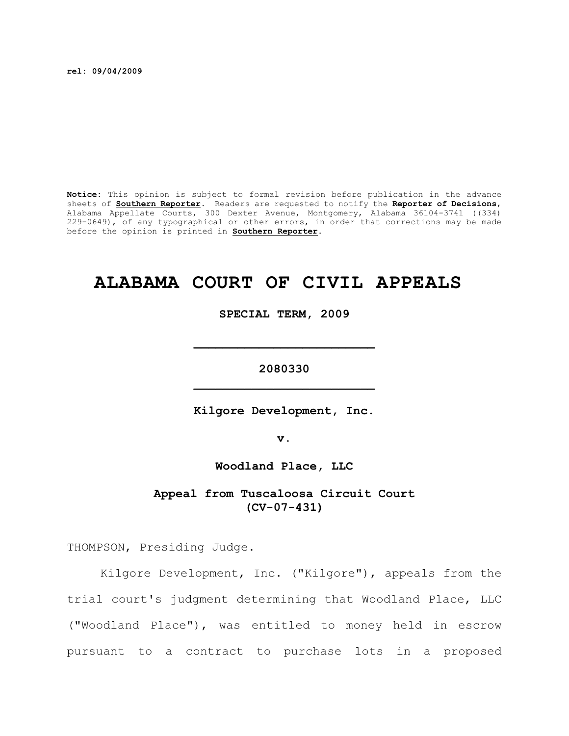**rel: 09/04/2009**

**Notice:** This opinion is subject to formal revision before publication in the advance sheets of **Southern Reporter**. Readers are requested to notify the **Reporter of Decisions**, Alabama Appellate Courts, 300 Dexter Avenue, Montgomery, Alabama 36104-3741 ((334) 229-0649), of any typographical or other errors, in order that corrections may be made before the opinion is printed in **Southern Reporter**.

# **ALABAMA COURT OF CIVIL APPEALS**

**SPECIAL TERM, 2009**

**2080330 \_\_\_\_\_\_\_\_\_\_\_\_\_\_\_\_\_\_\_\_\_\_\_\_\_**

**\_\_\_\_\_\_\_\_\_\_\_\_\_\_\_\_\_\_\_\_\_\_\_\_\_**

**Kilgore Development, Inc.**

**v.**

**Woodland Place, LLC**

**Appeal from Tuscaloosa Circuit Court (CV-07-431)**

THOMPSON, Presiding Judge.

Kilgore Development, Inc. ("Kilgore"), appeals from the trial court's judgment determining that Woodland Place, LLC ("Woodland Place"), was entitled to money held in escrow pursuant to a contract to purchase lots in a proposed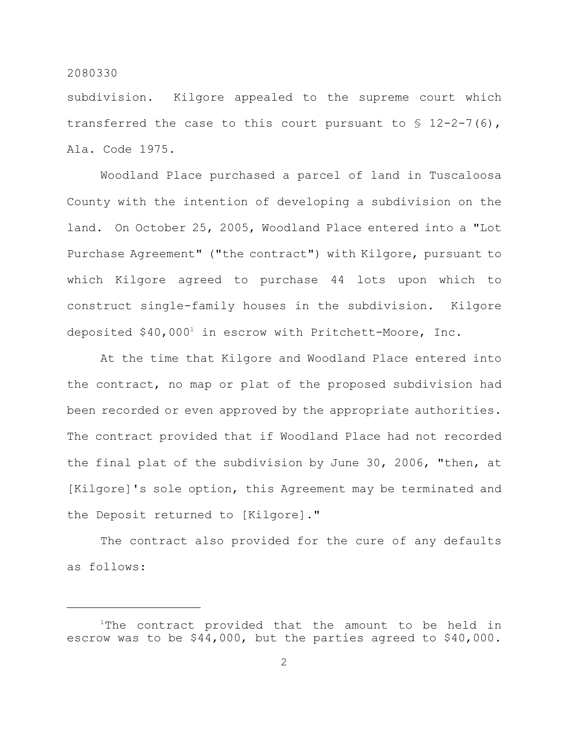subdivision. Kilgore appealed to the supreme court which transferred the case to this court pursuant to  $\S$  12-2-7(6), Ala. Code 1975.

Woodland Place purchased a parcel of land in Tuscaloosa County with the intention of developing a subdivision on the land. On October 25, 2005, Woodland Place entered into a "Lot Purchase Agreement" ("the contract") with Kilgore, pursuant to which Kilgore agreed to purchase 44 lots upon which to construct single-family houses in the subdivision. Kilgore deposited \$40,000<sup>1</sup> in escrow with Pritchett-Moore, Inc.

At the time that Kilgore and Woodland Place entered into the contract, no map or plat of the proposed subdivision had been recorded or even approved by the appropriate authorities. The contract provided that if Woodland Place had not recorded the final plat of the subdivision by June 30, 2006, "then, at [Kilgore]'s sole option, this Agreement may be terminated and the Deposit returned to [Kilgore]."

The contract also provided for the cure of any defaults as follows:

 $1$ The contract provided that the amount to be held in escrow was to be \$44,000, but the parties agreed to \$40,000.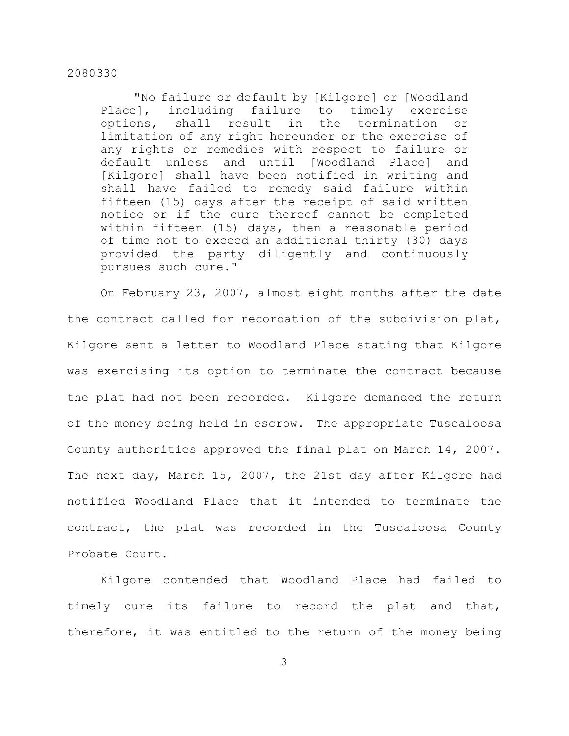"No failure or default by [Kilgore] or [Woodland Place], including failure to timely exercise options, shall result in the termination or limitation of any right hereunder or the exercise of any rights or remedies with respect to failure or default unless and until [Woodland Place] and [Kilgore] shall have been notified in writing and shall have failed to remedy said failure within fifteen (15) days after the receipt of said written notice or if the cure thereof cannot be completed within fifteen (15) days, then a reasonable period of time not to exceed an additional thirty (30) days provided the party diligently and continuously pursues such cure."

On February 23, 2007, almost eight months after the date the contract called for recordation of the subdivision plat, Kilgore sent a letter to Woodland Place stating that Kilgore was exercising its option to terminate the contract because the plat had not been recorded. Kilgore demanded the return of the money being held in escrow. The appropriate Tuscaloosa County authorities approved the final plat on March 14, 2007. The next day, March 15, 2007, the 21st day after Kilgore had notified Woodland Place that it intended to terminate the contract, the plat was recorded in the Tuscaloosa County Probate Court.

Kilgore contended that Woodland Place had failed to timely cure its failure to record the plat and that, therefore, it was entitled to the return of the money being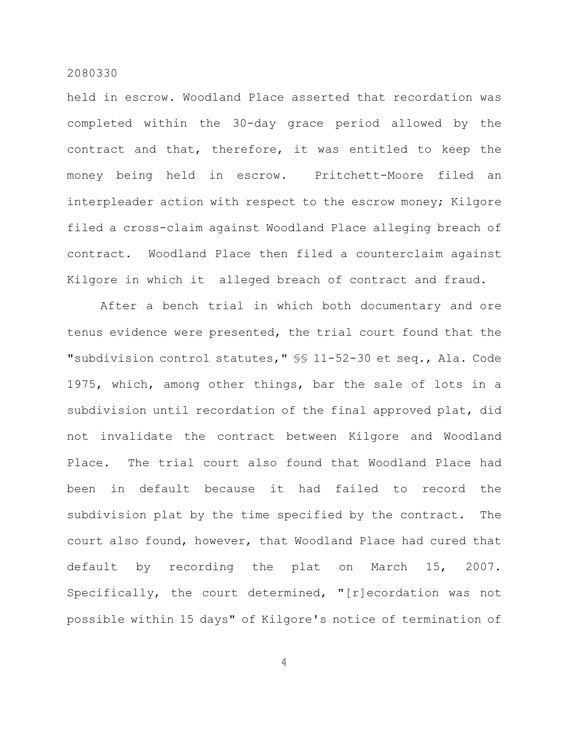held in escrow. Woodland Place asserted that recordation was completed within the 30-day grace period allowed by the contract and that, therefore, it was entitled to keep the money being held in escrow. Pritchett-Moore filed an interpleader action with respect to the escrow money; Kilgore filed a cross-claim against Woodland Place alleging breach of contract. Woodland Place then filed a counterclaim against Kilgore in which it alleged breach of contract and fraud.

After a bench trial in which both documentary and ore tenus evidence were presented, the trial court found that the "subdivision control statutes," §§ 11-52-30 et seq., Ala. Code 1975, which, among other things, bar the sale of lots in a subdivision until recordation of the final approved plat, did not invalidate the contract between Kilgore and Woodland Place. The trial court also found that Woodland Place had been in default because it had failed to record the subdivision plat by the time specified by the contract. The court also found, however, that Woodland Place had cured that default by recording the plat on March 15, 2007. Specifically, the court determined, "[r]ecordation was not possible within 15 days" of Kilgore's notice of termination of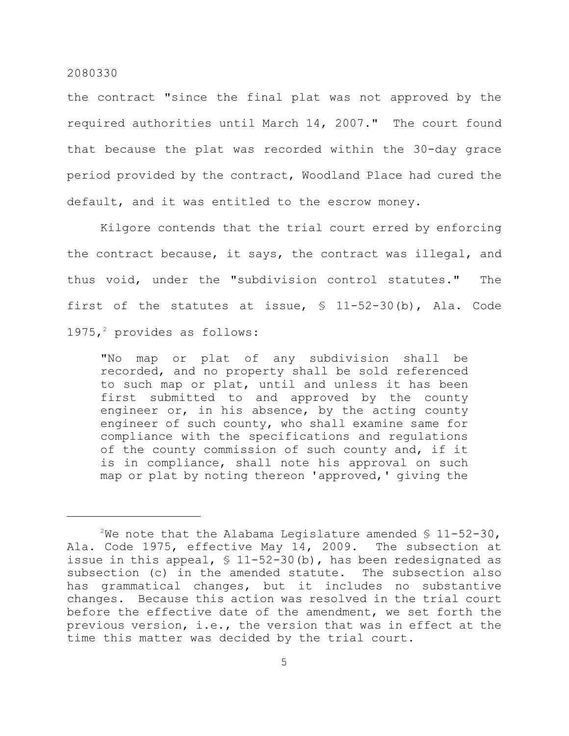the contract "since the final plat was not approved by the required authorities until March 14, 2007." The court found that because the plat was recorded within the 30-day grace period provided by the contract, Woodland Place had cured the default, and it was entitled to the escrow money.

Kilgore contends that the trial court erred by enforcing the contract because, it says, the contract was illegal, and thus void, under the "subdivision control statutes." The first of the statutes at issue, § 11-52-30(b), Ala. Code 1975,<sup>2</sup> provides as follows:

"No map or plat of any subdivision shall be recorded, and no property shall be sold referenced to such map or plat, until and unless it has been first submitted to and approved by the county engineer or, in his absence, by the acting county engineer of such county, who shall examine same for compliance with the specifications and regulations of the county commission of such county and, if it is in compliance, shall note his approval on such map or plat by noting thereon 'approved,' giving the

 $2$ We note that the Alabama Legislature amended § 11-52-30, Ala. Code 1975, effective May 14, 2009. The subsection at issue in this appeal, § 11-52-30(b), has been redesignated as subsection (c) in the amended statute. The subsection also has grammatical changes, but it includes no substantive changes. Because this action was resolved in the trial court before the effective date of the amendment, we set forth the previous version, i.e., the version that was in effect at the time this matter was decided by the trial court.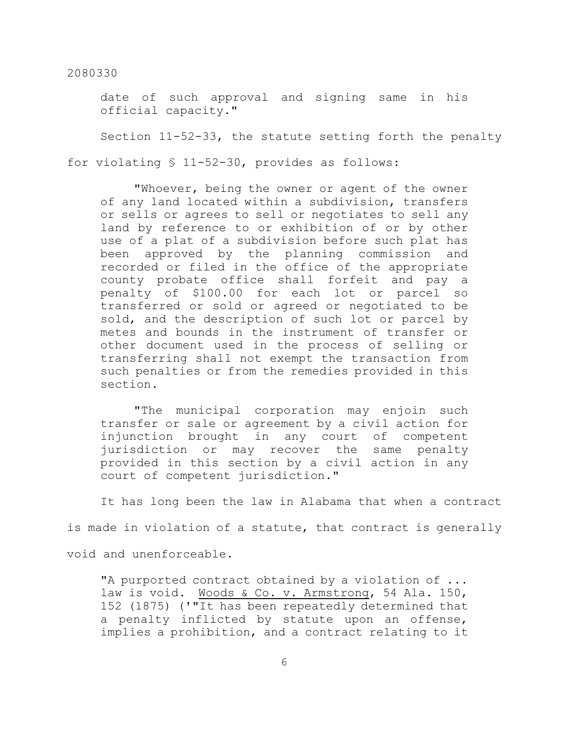date of such approval and signing same in his official capacity."

Section 11-52-33, the statute setting forth the penalty

for violating § 11-52-30, provides as follows:

"Whoever, being the owner or agent of the owner of any land located within a subdivision, transfers or sells or agrees to sell or negotiates to sell any land by reference to or exhibition of or by other use of a plat of a subdivision before such plat has been approved by the planning commission and recorded or filed in the office of the appropriate county probate office shall forfeit and pay a penalty of \$100.00 for each lot or parcel so transferred or sold or agreed or negotiated to be sold, and the description of such lot or parcel by metes and bounds in the instrument of transfer or other document used in the process of selling or transferring shall not exempt the transaction from such penalties or from the remedies provided in this section.

"The municipal corporation may enjoin such transfer or sale or agreement by a civil action for injunction brought in any court of competent jurisdiction or may recover the same penalty provided in this section by a civil action in any court of competent jurisdiction."

It has long been the law in Alabama that when a contract

is made in violation of a statute, that contract is generally

void and unenforceable.

"A purported contract obtained by a violation of ... law is void. Woods & Co. v. Armstrong, 54 Ala. 150, 152 (1875) ('"It has been repeatedly determined that a penalty inflicted by statute upon an offense, implies a prohibition, and a contract relating to it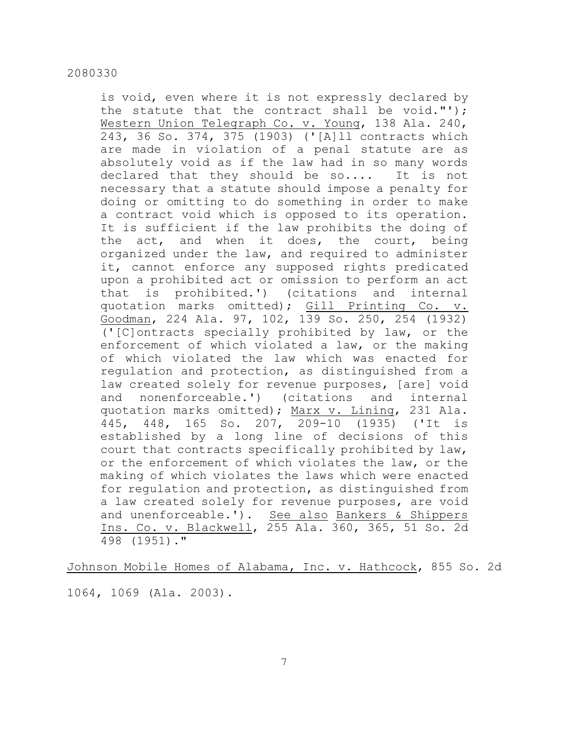is void, even where it is not expressly declared by the statute that the contract shall be void."'); Western Union Telegraph Co. v. Young, 138 Ala. 240, 243, 36 So. 374, 375 (1903) ('[A]ll contracts which are made in violation of a penal statute are as absolutely void as if the law had in so many words declared that they should be so.... It is not necessary that a statute should impose a penalty for doing or omitting to do something in order to make a contract void which is opposed to its operation. It is sufficient if the law prohibits the doing of the act, and when it does, the court, being organized under the law, and required to administer it, cannot enforce any supposed rights predicated upon a prohibited act or omission to perform an act that is prohibited.') (citations and internal quotation marks omitted); Gill Printing Co. v. Goodman, 224 Ala. 97, 102, 139 So. 250, 254 (1932) ('[C]ontracts specially prohibited by law, or the enforcement of which violated a law, or the making of which violated the law which was enacted for regulation and protection, as distinguished from a law created solely for revenue purposes, [are] void and nonenforceable.') (citations and internal quotation marks omitted); Marx v. Lining, 231 Ala. 445, 448, 165 So. 207, 209-10 (1935) ('It is established by a long line of decisions of this court that contracts specifically prohibited by law, or the enforcement of which violates the law, or the making of which violates the laws which were enacted for regulation and protection, as distinguished from a law created solely for revenue purposes, are void and unenforceable.'). See also Bankers & Shippers Ins. Co. v. Blackwell, 255 Ala. 360, 365, 51 So. 2d 498 (1951)."

Johnson Mobile Homes of Alabama, Inc. v. Hathcock, 855 So. 2d

1064, 1069 (Ala. 2003).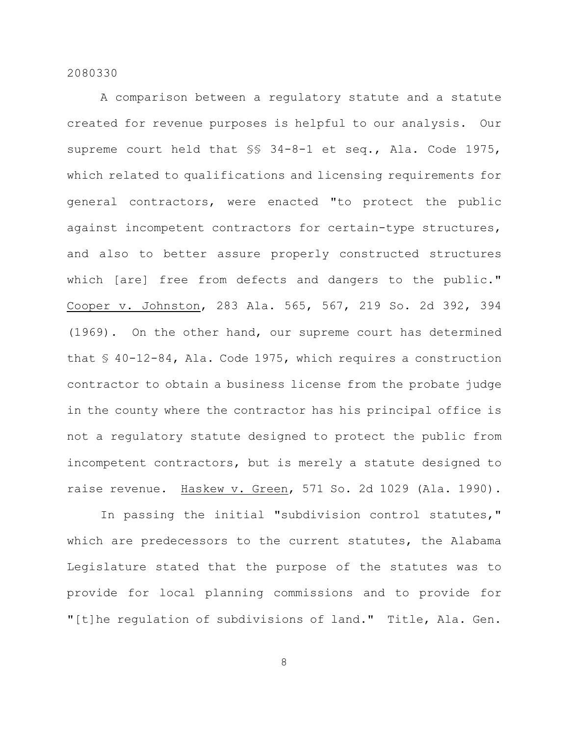A comparison between a regulatory statute and a statute created for revenue purposes is helpful to our analysis. Our supreme court held that §§ 34-8-1 et seq., Ala. Code 1975, which related to qualifications and licensing requirements for general contractors, were enacted "to protect the public against incompetent contractors for certain-type structures, and also to better assure properly constructed structures which [are] free from defects and dangers to the public." Cooper v. Johnston, 283 Ala. 565, 567, 219 So. 2d 392, 394 (1969). On the other hand, our supreme court has determined that § 40-12-84, Ala. Code 1975, which requires a construction contractor to obtain a business license from the probate judge in the county where the contractor has his principal office is not a regulatory statute designed to protect the public from incompetent contractors, but is merely a statute designed to raise revenue. Haskew v. Green, 571 So. 2d 1029 (Ala. 1990).

In passing the initial "subdivision control statutes," which are predecessors to the current statutes, the Alabama Legislature stated that the purpose of the statutes was to provide for local planning commissions and to provide for "[t]he regulation of subdivisions of land." Title, Ala. Gen.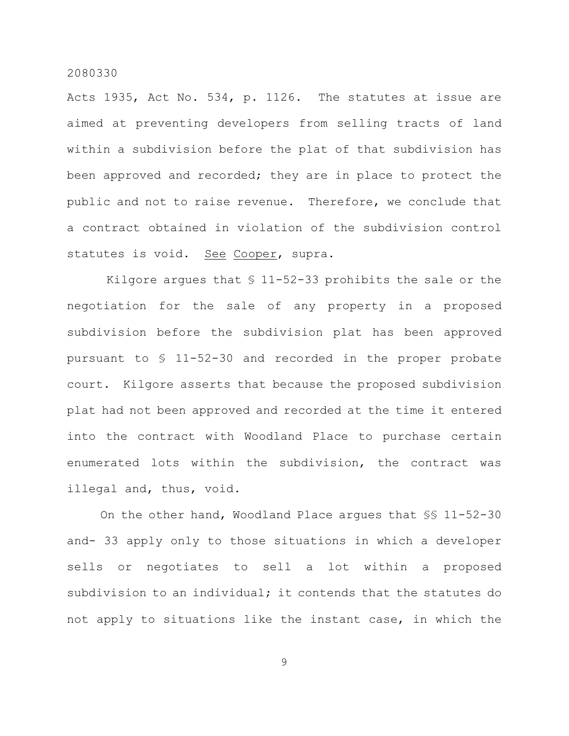Acts 1935, Act No. 534, p. 1126. The statutes at issue are aimed at preventing developers from selling tracts of land within a subdivision before the plat of that subdivision has been approved and recorded; they are in place to protect the public and not to raise revenue. Therefore, we conclude that a contract obtained in violation of the subdivision control statutes is void. See Cooper, supra.

Kilgore argues that  $$11-52-33$  prohibits the sale or the negotiation for the sale of any property in a proposed subdivision before the subdivision plat has been approved pursuant to § 11-52-30 and recorded in the proper probate court. Kilgore asserts that because the proposed subdivision plat had not been approved and recorded at the time it entered into the contract with Woodland Place to purchase certain enumerated lots within the subdivision, the contract was illegal and, thus, void.

On the other hand, Woodland Place argues that §§ 11-52-30 and- 33 apply only to those situations in which a developer sells or negotiates to sell a lot within a proposed subdivision to an individual; it contends that the statutes do not apply to situations like the instant case, in which the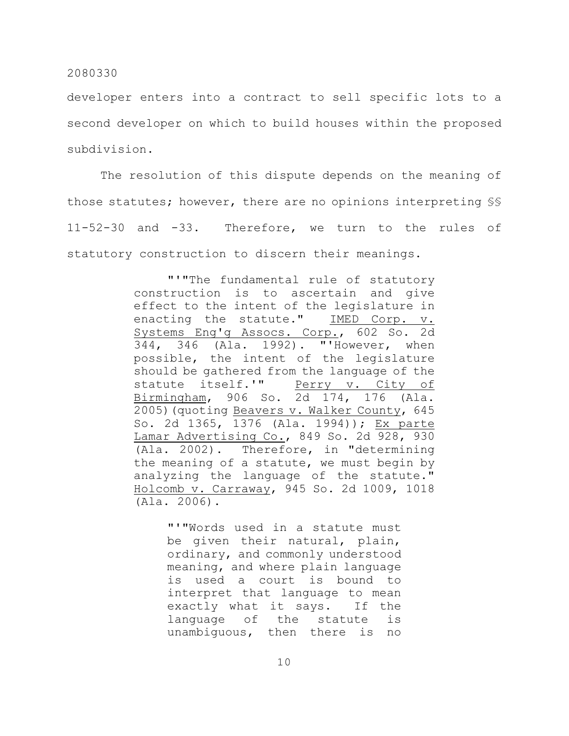developer enters into a contract to sell specific lots to a second developer on which to build houses within the proposed subdivision.

The resolution of this dispute depends on the meaning of those statutes; however, there are no opinions interpreting §§ 11-52-30 and -33. Therefore, we turn to the rules of statutory construction to discern their meanings.

> "'"The fundamental rule of statutory construction is to ascertain and give effect to the intent of the legislature in enacting the statute." IMED Corp. v. Systems Eng'g Assocs. Corp., 602 So. 2d 344, 346 (Ala. 1992). "'However, when possible, the intent of the legislature should be gathered from the language of the statute itself.'" Perry v. City of Birmingham, 906 So. 2d 174, 176 (Ala. 2005)(quoting Beavers v. Walker County, 645 So. 2d 1365, 1376 (Ala. 1994)); Ex parte Lamar Advertising Co., 849 So. 2d 928, 930 (Ala. 2002). Therefore, in "determining the meaning of a statute, we must begin by analyzing the language of the statute." Holcomb v. Carraway, 945 So. 2d 1009, 1018 (Ala. 2006).

> > "'"Words used in a statute must be given their natural, plain, ordinary, and commonly understood meaning, and where plain language is used a court is bound to interpret that language to mean exactly what it says. If the language of the statute is unambiguous, then there is no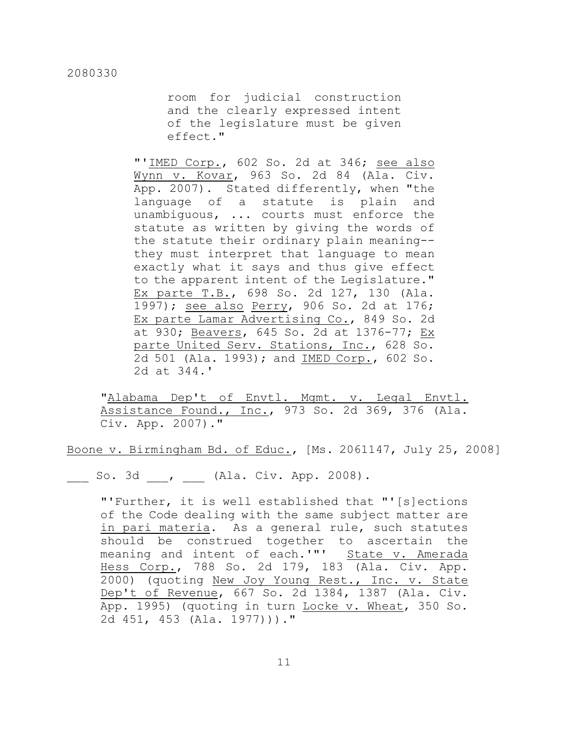room for judicial construction and the clearly expressed intent of the legislature must be given effect."

"'IMED Corp., 602 So. 2d at 346; see also Wynn v. Kovar, 963 So. 2d 84 (Ala. Civ. App. 2007). Stated differently, when "the language of a statute is plain and unambiguous, ... courts must enforce the statute as written by giving the words of the statute their ordinary plain meaning- they must interpret that language to mean exactly what it says and thus give effect to the apparent intent of the Legislature." Ex parte T.B., 698 So. 2d 127, 130 (Ala. 1997); see also Perry, 906 So. 2d at 176; Ex parte Lamar Advertising Co., 849 So. 2d at 930; Beavers, 645 So. 2d at 1376-77; Ex parte United Serv. Stations, Inc., 628 So. 2d 501 (Ala. 1993); and IMED Corp., 602 So. 2d at 344.'

"Alabama Dep't of Envtl. Mgmt. v. Legal Envtl. Assistance Found., Inc., 973 So. 2d 369, 376 (Ala. Civ. App. 2007)."

Boone v. Birmingham Bd. of Educ., [Ms. 2061147, July 25, 2008]

So. 3d , (Ala. Civ. App. 2008).

"'Further, it is well established that "'[s]ections of the Code dealing with the same subject matter are in pari materia. As a general rule, such statutes should be construed together to ascertain the meaning and intent of each.'"' State v. Amerada Hess Corp., 788 So. 2d 179, 183 (Ala. Civ. App. 2000) (quoting New Joy Young Rest., Inc. v. State Dep't of Revenue, 667 So. 2d 1384, 1387 (Ala. Civ. App. 1995) (quoting in turn Locke v. Wheat, 350 So. 2d 451, 453 (Ala. 1977)))."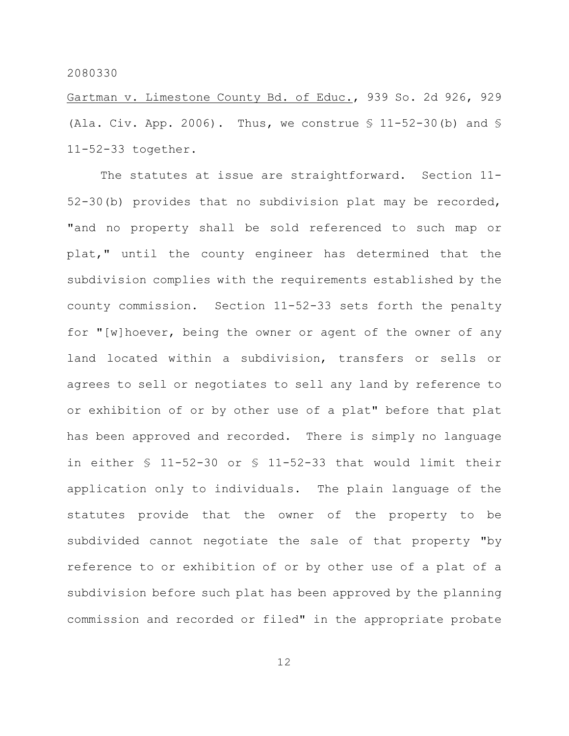Gartman v. Limestone County Bd. of Educ., 939 So. 2d 926, 929 (Ala. Civ. App. 2006). Thus, we construe  $$ 11-52-30$  (b) and  $$$ 11-52-33 together.

The statutes at issue are straightforward. Section 11- 52-30(b) provides that no subdivision plat may be recorded, "and no property shall be sold referenced to such map or plat," until the county engineer has determined that the subdivision complies with the requirements established by the county commission. Section 11-52-33 sets forth the penalty for "[w]hoever, being the owner or agent of the owner of any land located within a subdivision, transfers or sells or agrees to sell or negotiates to sell any land by reference to or exhibition of or by other use of a plat" before that plat has been approved and recorded. There is simply no language in either § 11-52-30 or § 11-52-33 that would limit their application only to individuals. The plain language of the statutes provide that the owner of the property to be subdivided cannot negotiate the sale of that property "by reference to or exhibition of or by other use of a plat of a subdivision before such plat has been approved by the planning commission and recorded or filed" in the appropriate probate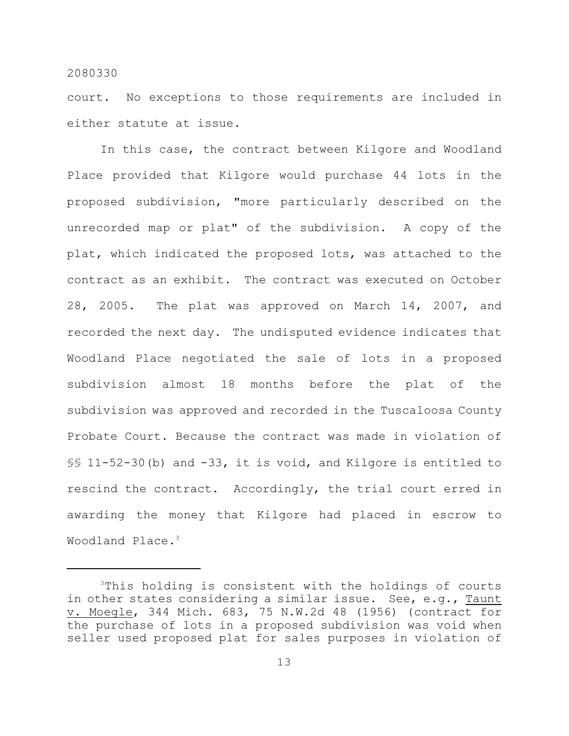court. No exceptions to those requirements are included in either statute at issue.

In this case, the contract between Kilgore and Woodland Place provided that Kilgore would purchase 44 lots in the proposed subdivision, "more particularly described on the unrecorded map or plat" of the subdivision. A copy of the plat, which indicated the proposed lots, was attached to the contract as an exhibit. The contract was executed on October 28, 2005. The plat was approved on March 14, 2007, and recorded the next day. The undisputed evidence indicates that Woodland Place negotiated the sale of lots in a proposed subdivision almost 18 months before the plat of the subdivision was approved and recorded in the Tuscaloosa County Probate Court. Because the contract was made in violation of §§ 11-52-30(b) and -33, it is void, and Kilgore is entitled to rescind the contract. Accordingly, the trial court erred in awarding the money that Kilgore had placed in escrow to Woodland Place.<sup>3</sup>

 $3$ This holding is consistent with the holdings of courts in other states considering a similar issue. See, e.g., Taunt v. Moegle, 344 Mich. 683, 75 N.W.2d 48 (1956) (contract for the purchase of lots in a proposed subdivision was void when seller used proposed plat for sales purposes in violation of